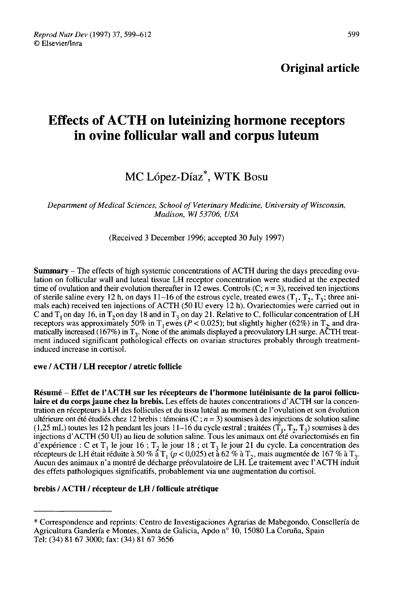# Effects of ACTH on luteinizing hormone receptors in ovine follicular wall and corpus luteum

# MC López-Díaz<sup>\*</sup>, WTK Bosu

Department of Medical Sciences, School of Veterinary Medicine, University of Wisconsin, Madison, WI 53706, USA

(Received 3 December 1996; accepted 30 July 1997)

Summary - The effects of high systemic concentrations of ACTH during the days preceding ovulation on follicular wall and luteal tissue LH receptor concentration were studied at the expected time of ovulation and their evolution thereafter in 12 ewes. Controls (C;  $n = 3$ ), received ten injections of sterile saline every 12 h, on days 11–16 of the estrous cycle, treated ewes  $(T_1, T_2, T_3)$ ; three animals each) received ten injections of ACTH (50 IU every 12 h). Ovariectomies were carried out in C and T<sub>1</sub> on day 16, in T<sub>2</sub> on day 18 and in T<sub>3</sub> on day 21. Relative to C, follicular concentration of LH receptors was approximately 50% in T<sub>1</sub> ewes ( $P < 0.025$ ); but slightly higher (62%) in T<sub>2</sub>, and dra-<br>receptors was approximately 50% in T<sub>1</sub> ewes ( $P < 0.025$ ); but slightly higher (62%) in T<sub>2</sub>, and dramals each) received ten injections of ACTH (50 IU every 12 h). Ovariectomies were carried out in<br>C and T<sub>1</sub> on day 16, in T<sub>2</sub> on day 18 and in T<sub>3</sub> on day 21. Relative to C, follicular concentration of LH<br>receptors was a ment induced significant pathological effects on ovarian structures probably through treatmentinduced increase in cortisol.

# ewe / ACTH / LH receptor / atretic follicle

Résumé - Effet de l'ACTH sur les récepteurs de l'hormone lutéinisante de la paroi folliculaire et du corps jaune chez la brebis. Les effets de hautes concentrations d'ACTH sur la concentration en récepteurs à LH des follicules et du tissu lutéal au moment de l'ovulation et son évolution ultérieure ont été étudiés chez 12 brebis : témoins (C ;  $n = 3$ ) soumises à des injections de solution saline (1,25 mL) toutes les 12 h pendant les jours 11-16 du cycle œstral ; traitées  $(T_1, T_2, T_3)$  soumises à des injections d'ACTH (50 UI) au lieu de solution saline. Tous les animaux ont été ovariectomisés en fin d'expérience : C et T<sub>1</sub> le jour 16 ; T<sub>2</sub> le jour 18 ; et T<sub>3</sub> le jour 21 du cycle. La concentration des récepteurs de LH était réduite à 50 % à T<sub>1</sub> ( $p < 0.025$ ) et à 62 % à T<sub>2</sub>, mais augmentée de 167 % à T<sub>3</sub>.<br>Aucun d des effets pathologiques significatifs, probablement via une augmentation du cortisol.

# brebis / ACTH / récepteur de LH / follicule atrétique

<sup>\*</sup> Correspondence and reprints: Centro de Investigaciones Agrarias de Mabegondo, Conselleria de Agricultura Ganderia e Montes, Xunta de Galicia, Apdo n° 10, 15080 La Coruna, Spain Tel: (34) 81 67 3000; fax: (34) 81 67 3656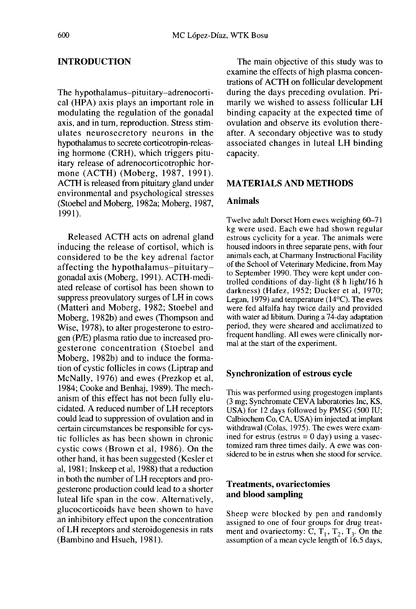## INTRODUCTION

The hypothalamus-pituitary-adrenocortical (HPA) axis plays an important role in modulating the regulation of the gonadal axis, and in turn, reproduction. Stress stimulates neurosecretory neurons in the hypothalamus to secrete corticotropin-releasing hormone (CRH), which triggers pituitary release of adrenocorticotrophic hormone (ACTH) (Moberg, 1987, 1991). ACTH is released from pituitary gland under environmental and psychological stresses (Stoebel and Moberg, 1982a; Moberg, 1987, 1991).

Released ACTH acts on adrenal gland inducing the release of cortisol, which is considered to be the key adrenal factor affecting the hypothalamus-pituitarygonadal axis (Moberg, 1991). ACTH-mediated release of cortisol has been shown to suppress preovulatory surges of LH in cows (Matteri and Moberg, 1982; Stoebel and Moberg, 1982b) and ewes (Thompson and Wise, 1978), to alter progesterone to estrogen (P/E) plasma ratio due to increased progesterone concentration (Stoebel and Moberg, 1982b) and to induce the formation of cystic follicles in cows (Liptrap and McNally, 1976) and ewes (Prezkop et al, 1984; Cooke and Benhaj, 1989). The mechanism of this effect has not been fully elucidated. A reduced number of LH receptors could lead to suppression of ovulation and in certain circumstances be responsible for cystic follicles as has been shown in chronic cystic cows (Brown et al, 1986). On the other hand, it has been suggested (Kesler et al, 1981; Inskeep et al, 1988) that a reduction in both the number of LH receptors and progesterone production could lead to a shorter luteal life span in the cow. Alternatively, glucocorticoids have been shown to have an inhibitory effect upon the concentration of LH receptors and steroidogenesis in rats (Bambino and Hsueh, 1981).

The main objective of this study was to examine the effects of high plasma concentrations of ACTH on follicular development during the days preceding ovulation. Primarily we wished to assess follicular LH binding capacity at the expected time of ovulation and observe its evolution thereafter. A secondary objective was to study associated changes in luteal LH binding capacity.

#### MATERIALS AND METHODS

#### Animals

Twelve adult Dorset Horn ewes weighing 60-71 kg were used. Each ewe had shown regular estrous cyclicity for a year. The animals were housed indoors in three separate pens, with four animals each, at Charmany Instructional Facility of the School of Veterinary Medicine, from May to September 1990. They were kept under controlled conditions of day-light (8 h light/16 h darkness) (Hafez, 1952; Ducker et al, 1970; Legan, 1979) and temperature (14°C). The ewes were fed alfalfa hay twice daily and provided with water ad libitum. During a 74-day adaptation period, they were sheared and acclimatized to frequent handling. All ewes were clinically normal at the start of the experiment.

#### Synchronization of estrous cycle

This was performed using progestogen implants (3 mg; Synchromate CEVA laboratories Inc, KS, USA) for 12 days followed by PMSG (500 IU; Calbiochem Co, CA, USA) im injected at implant withdrawal (Colas, 1975). The ewes were examined for estrus (estrus  $= 0$  day) using a vasectomized ram three times daily. A ewe was considered to be in estrus when she stood for service.

# Treatments, ovariectomies and blood sampling

Sheep were blocked by pen and randomly assigned to one of four groups for drug treatment and ovariectomy:  $\check{C}$ ,  $\check{T_1}$ ,  $\check{T_2}$ ,  $\check{T_3}$ . On the assumption of a mean cycle length of 16.5 days,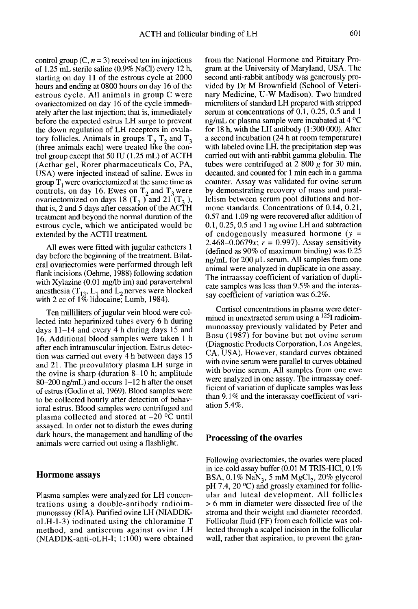control group  $(C, n = 3)$  received ten im injections of 1.25 mL sterile saline (0.9% NaCI) every 12 h, starting on day 11 of the estrous cycle at 2000 hours and ending at 0800 hours on day 16 of the estrous cycle. All animals in group C were ovariectomized on day 16 of the cycle immediately after the last injection; that is, immediately before the expected estrus LH surge to prevent the down regulation of LH receptors in ovulatory follicles. Animals in groups  $T_p$ ,  $T_2$  and  $T_3$ (three animals each) were treated like the control group except that 50 IU (1.25 mL) of ACTH (Acthar gel, Rorer pharmaceuticals Co, PA, USA) were injected instead of saline. Ewes in group T<sub>1</sub> were ovariectomized at the same time as controls, on day 16. Ewes on T<sub>2</sub> and T<sub>3</sub> were (Acthar gel, Rorer pharmaceuticals Co, PA,<br>USA) were injected instead of saline. Ewes in<br>group  $T_1$  were ovariectomized at the same time as<br>controls, on day 16. Ewes on  $T_2$  and  $T_3$  were<br>ovariectomized on days 18  $(T_2$ that is, 2 and 5 days after cessation of the ACTH treatment and beyond the normal duration of the estrous cycle, which we anticipated would be extended by the ACTH treatment.

All ewes were fitted with jugular catheters 1 day before the beginning of the treatment. Bilateral ovariectomies were performed through left flank incisions (Oehme, 1988) following sedation with Xylazine (0.01 mg/lb im) and paravertebral anesthesia ( $T_{13}$ ,  $L_1$  and  $L_2$  nerves were blocked with 2 cc of  $1\%$  lidocaine; Lumb, 1984).

Ten milliliters of jugular vein blood were collected into heparinized tubes every 6 h during days 11-14 and every 4 h during days 15 and 16. Additional blood samples were taken 1 h after each intramuscular injection. Estrus detection was carried out every 4 h between days 15 and 21. The preovulatory plasma LH surge in the ovine is sharp (duration 8-10 h; amplitude 80-200 ng/mL) and occurs 1-12 h after the onset of estrus (Godin et al, 1969). Blood samples were to be collected hourly after detection of behavioral estrus. Blood samples were centrifuged and plasma collected and stored at  $-20$  °C until assayed. In order not to disturb the ewes during dark hours, the management and handling of the animals were carried out using a flashlight.

#### Hormone assays

Plasma samples were analyzed for LH concentrations using a double-antibody radioimmunoassay (RIA). Purified ovine LH (NIADDKoLH-1-3) iodinated using the chloramine T method, and antiserum against ovine LH (NIADDK-anti-oLH-1; 1:100) were obtained from the National Hormone and Pituitary Program at the University of Maryland, USA. The second anti-rabbit antibody was generously provided by Dr M Brownfield (School of Veterinary Medicine, U-W Madison). Two hundred microliters of standard LH prepared with stripped serum at concentrations of 0.1, 0.25, 0.5 and 1 ng/mL or plasma sample were incubated at 4 °C for 18 h, with the LH antibody ( 1:300 000). After a second incubation (24 h at room temperature) with labeled ovine LH, the precipitation step was carried out with anti-rabbit gamma globulin. The tubes were centrifuged at 2 800 g for 30 min, decanted, and counted for 1 min each in a gamma counter. Assay was validated for ovine serum by demonstrating recovery of mass and parallelism between serum pool dilutions and hormone standards. Concentrations of 0.14, 0.21, 0.57 and 1.09 ng were recovered after addition of 0.1, 0.25, 0.5 and 1 ng ovine LH and subtraction of endogenously measured hormone  $(y =$ 2.468-0.0679x;  $r = 0.997$ ). Assay sensitivity (defined as 90% of maximum binding) was 0.25 ng/mL for  $200 \mu L$  serum. All samples from one animal were analyzed in duplicate in one assay. The intraassay coefficient of variation of dupli cate samples was less than 9.5% and the interassay coefficient of variation was 6.2%.

Cortisol concentrations in plasma were determined in unextracted serum using a  $125$ I radioimmunoassay previously validated by Peter and Bosu (1987) for bovine but not ovine serum (Diagnostic Products Corporation, Los Angeles, CA, USA). However, standard curves obtained with ovine serum were parallel to curves obtained with bovine serum. All samples from one ewe were analyzed in one assay. The intraassay coefficient of variation of duplicate samples was less than 9.1 % and the interassay coefficient of variation 5.4%.

#### Processing of the ovaries

Following ovariectomies, the ovaries were placed in ice-cold assay buffer (0.01 M TRIS-HCl, 0.1% BSA,  $0.1\%$  NaN<sub>3</sub>, 5 mM MgCl<sub>2</sub>, 20% glycerol pH 7.4, 20 °C) and grossly examined for follicular and luteal development. All follicles > 6 mm in diameter were dissected free of the stroma and their weight and diameter recorded. Follicular fluid (FF) from each follicle was collected through a scalpel incision in the follicular wall, rather that aspiration, to prevent the gran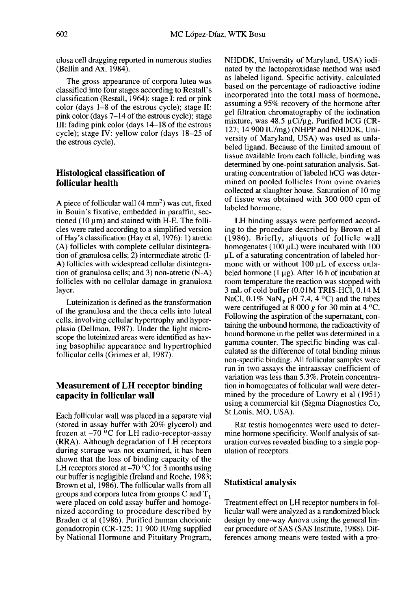ulosa cell dragging reported in numerous studies (Bellin and Ax, 1984).

The gross appearance of corpora lutea was classified into four stages according to Restall's classification (Restall, 1964): stage I: red or pink color (days 1-8 of the estrous cycle); stage II: pink color (days 7-14 of the estrous cycle); stage III: fading pink color (days 14―18 of the estrous cycle); stage IV: yellow color (days 18-25 of the estrous cycle).

# Histological classification of follicular health

A piece of follicular wall  $(4 \text{ mm}^2)$  was cut, fixed in Bouin's fixative, embedded in paraffin, sectioned (10  $\mu$ m) and stained with H-E. The follicles were rated according to a simplified version of Hay's classification (Hay et al, 1976): 1 ) atretic (A) follicles with complete cellular disintegration of granulosa cells; 2) intermediate atretic (I-A) follicles with widespread cellular disintegration of granulosa cells; and 3) non-atretic (N-A) follicles with no cellular damage in granulosa layer.

Luteinization is defined as the transformation of the granulosa and the theca cells into luteal cells, involving cellular hypertrophy and hyperplasia (Dellman, 1987). Under the light microscope the luteinized areas were identified as having basophilic appearance and hypertrophied follicular cells (Grimes et al, 1987).

## Measurement of LH receptor binding capacity in follicular wall

Each follicular wall was placed in a separate vial (stored in assay buffer with 20% glycerol) and frozen at  $-70$  °C for LH radio-receptor-assay (RRA). Although degradation of LH receptors during storage was not examined, it has been shown that the loss of binding capacity of the LH receptors stored at  $-70^{\circ}$ C for 3 months using our buffer is negligible (Ireland and Roche, 1983; Brown et al, 1986). The follicular walls from all groups and corpora lutea from groups  $C$  and  $T_1$ were placed on cold assay buffer and homogenized according to procedure described by Braden et al (1986). Purified human chorionic gonadotropin (CR-125; 11 900 IU/mg supplied by National Hormone and Pituitary Program, NHDDK, University of Maryland, USA) iodinated by the lactoperoxidase method was used as labeled ligand. Specific activity, calculated based on the percentage of radioactive iodine incorporated into the total mass of hormone, assuming a 95% recovery of the hormone after gel filtration chromatography of the iodination mixture, was  $48.5 \mu \text{Ci}/\mu \text{g}$ . Purified hCG (CR-127; 14 900 IU/mg) (NHPP and NHDDK, University of Maryland, USA) was used as unlabeled ligand. Because of the limited amount of tissue available from each follicle, binding was determined by one-point saturation analysis. Saturating concentration of labeled hCG was determined on pooled follicles from ovine ovaries collected at slaughter house. Saturation of 10 mg of tissue was obtained with 300 000 cpm of labeled hormone.

LH binding assays were performed according to the procedure described by Brown et al (1986). Briefly, aliquots of follicle wall homogenates (100  $\mu$ L) were incubated with 100 pL of a saturating concentration of labeled hormone with or without 100 uL of excess unlabeled hormone  $(1 \mu g)$ . After 16 h of incubation at room temperature the reaction was stopped with 3 mL of cold buffer (O.O1M TRIS-HCI, 0.14 M NaCl,  $0.1\%$  NaN<sub>2</sub> pH 7.4, 4 <sup>o</sup>C) and the tubes were centrifuged at 8 000 g for 30 min at 4 °C. Following the aspiration of the supernatant, containing the unbound hormone, the radioactivity of bound hormone in the pellet was determined in a gamma counter. The specific binding was calculated as the difference of total binding minus non-specific binding. All follicular samples were run in two assays the intraassay coefficient of variation was less than 5.3%. Protein concentration in homogenates of follicular wall were determined by the procedure of Lowry et al (1951) using a commercial kit (Sigma Diagnostics Co, St Louis, MO, USA).

Rat testis homogenates were used to determine hormone specificity. Woolf analysis of saturation curves revealed binding to a single population of receptors.

#### Statistical analysis

Treatment effect on LH receptor numbers in follicular wall were analyzed as a randomized block design by one-way Anova using the general lin ear procedure of SAS (SAS Institute, 1988). Differences among means were tested with a pro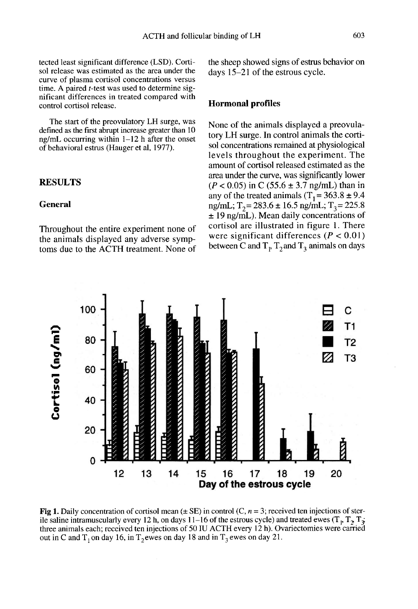tected least significant difference (LSD). Cortisol release was estimated as the area under the curve of plasma cortisol concentrations versus time. A paired *t*-test was used to determine significant differences in treated compared with control cortisol release.

The start of the preovulatory LH surge, was defined as the first abrupt increase greater than 10 ng/mL occurring within 1-12 h after the onset of behavioral estrus (Hauger et al, 1977).

## RESULTS

### **General**

Throughout the entire experiment none of the animals displayed any adverse symptoms due to the ACTH treatment. None of

the sheep showed signs of estrus behavior on days 15-21 of the estrous cycle.

#### Hormonal profiles

None of the animals displayed a preovulatory LH surge. In control animals the cortisol concentrations remained at physiological levels throughout the experiment. The amount of cortisol released estimated as the area under the curve, was significantly lower  $(P < 0.05)$  in C (55.6  $\pm$  3.7 ng/mL) than in any of the treated animals (T<sub>1</sub> =  $363.8 \pm 9.4$ ng/mL; T<sub>2</sub> = 283.6 ± 16.5 ng/mL; T<sub>3</sub> = 225.8  $± 19$  ng/mL). Mean daily concentrations of cortisol are illustrated in figure 1. There were significant differences ( $P < 0.01$ ) between C and  $T_1$ ,  $T_2$  and  $T_3$  animals on days



Fig 1. Daily concentration of cortisol mean ( $\pm$  SE) in control (C,  $n = 3$ ; received ten injections of sterile saline intramuscularly every 12 h, on days 11–16 of the estrous cycle) and treated ewes  $(T_p, T_p, T_a)$ three animals each; received ten injections of 50 IU ACTH every 12 h). Ovariectomies were carried out in C and T<sub>1</sub> on day 16, in T<sub>2</sub> ewes on day 18 and in T<sub>3</sub> ewes on day 21.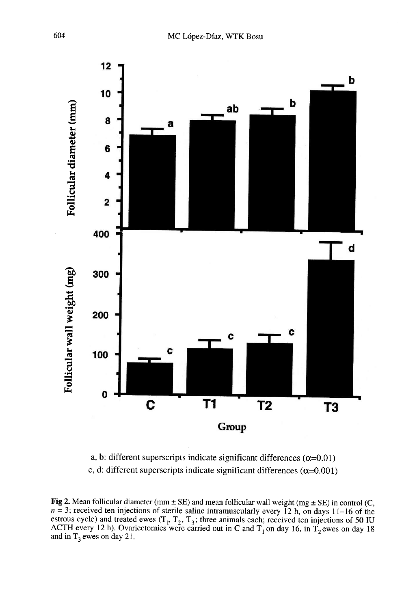



Fig 2. Mean follicular diameter (mm  $\pm$  SE) and mean follicular wall weight (mg  $\pm$  SE) in control (C,  $n = 3$ ; received ten injections of sterile saline intramuscularly every 12 h, on days 11-16 of the estrous cycle) and treated ewes  $(T_p, T_2, T_3)$ ; three animals each; received ten injections of 50 IU<br>ACTH every 12 h). Ovariectomies were carried out in C and T<sub>1</sub> on day 16, in T<sub>2</sub> ewes on day 18 and in  $T_3$  ewes on day 21.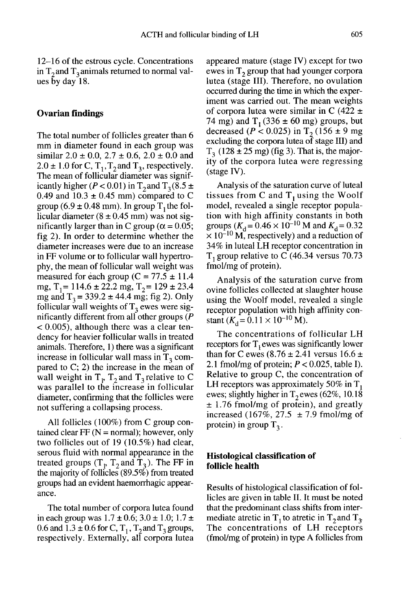12-16 of the estrous cycle. Concentrations ACTH and follicular binding of LH<br>12–16 of the estrous cycle. Concentrations appeared matu<br>in T<sub>2</sub> and T<sub>3</sub> animals returned to normal val-<br>wes in T<sub>2</sub> gro ues by day 18.

## Ovarian findings

The total number of follicles greater than 6 mm in diameter found in each group was similar  $2.0 \pm 0.0$ ,  $2.7 \pm 0.6$ ,  $2.0 \pm 0.0$  and The total number of follicles greater than 6<br>mm in diameter found in each group was<br>similar 2.0 ± 0.0, 2.7 ± 0.6, 2.0 ± 0.0 and<br>2.0 ± 1.0 for C, T<sub>1</sub>, T<sub>2</sub> and T<sub>3</sub>, respectively.<br>The mean of follicular diameter was signi The mean of follicular diameter was signifsimilar 2.0  $\pm$  0.0, 2.7  $\pm$  0.6, 2.0  $\pm$  0.0 and<br>2.0  $\pm$  1.0 for C, T<sub>1</sub>, T<sub>2</sub> and T<sub>3</sub>, respectively.<br>The mean of follicular diameter was significantly higher (P < 0.01) in T<sub>2</sub> and T<sub>3</sub>(8.5  $\pm$ <br>0.49 and 10.3  $\pm$  0.49 and  $10.3 \pm 0.45$  mm) compared to C<br>group (6.9  $\pm$  0.48 mm). In group T<sub>1</sub> the folicantly higher ( $P < 0.01$ ) in T<sub>2</sub> and T<sub>3</sub>(8.5  $\pm$ licular diameter ( $8 \pm 0.45$  mm) was not significantly larger than in C group ( $\alpha$  = 0.05; fig 2). In order to determine whether the diameter increases were due to an increase in FF volume or to follicular wall hypertrophy, the mean of follicular wall weight was measured for each group (C =  $77.5 \pm 11.4$ ) mg,  $T_1 = 114.6 \pm 22.2$  mg,  $T_2 = 129 \pm 23.4$ mg and  $T_3 = 339.2 \pm 44.4$  mg; fig 2). Only follicular wall weights of  $T<sub>3</sub>$  ewes were significantly different from all other groups (P  $(0.005)$ , although there was a clear tendency for heavier follicular walls in treated animals. Therefore, 1) there was a significant increase in follicular wall mass in  $T_3$  compared to C; 2) the increase in the mean of wall weight in  $T_1$ ,  $T_2$  and  $T_3$  relative to C was parallel to the increase in follicular diameter, confirming that the follicles were not suffering a collapsing process.

All follicles (100%) from C group contained clear  $FF (N = normal)$ ; however, only two follicles out of 19 (10.5%) had clear, serous fluid with normal appearance in the treated groups  $(T_1, T_2, T_3)$ . The FF in the majority of follicles (89.5%) from treated groups had an evident haemorrhagic appearance.

The total number of corpora lutea found in each group was  $1.7 \pm 0.6$ ;  $3.0 \pm 1.0$ ;  $1.7 \pm 1.0$ 0.6 and  $1.3 \pm 0.6$  for C, T<sub>1</sub>, T<sub>2</sub> and T<sub>3</sub> groups, respectively. Externally, all corpora lutea

appeared mature (stage IV) except for two ewes in T, group that had younger corpora lutea (stage III). Therefore, no ovulation occurred during the time in which the experiment was carried out. The mean weights of corpora lutea were similar in C  $(422 \pm$ 74 mg) and  $T_1(336 \pm 60 \text{ mg})$  groups, but decreased ( $P \le 0.025$ ) in T<sub>2</sub> (156 ± 9 mg excluding the corpora lutea of stage III) and  $T<sub>3</sub>$  (128 ± 25 mg) (fig 3). That is, the majority of the corpora lutea were regressing (stage IV).

Analysis of the saturation curve of luteal tissues from C and  $T_1$  using the Woolf model, revealed a single receptor population with high affinity constants in both groups ( $K_d = 0.46 \times 10^{-10}$  M and  $K_d = 0.32$  $\times 10^{-10}$  M, respectively) and a reduction of 34% in luteal LH receptor concentration in T, group relative to C (46.34 versus 70.73 fmol/mg of protein).

Analysis of the saturation curve from ovine follicles collected at slaughter house using the Woolf model, revealed a single receptor population with high affinity con-Analysis of the saturation<br>ovine follicles collected at s<br>using the Woolf model, re<br>receptor population with hightarpoont with  $(K_d = 0.11 \times 10^{-10} \text{ M})$ .<br>The concentrations of

The concentrations of follicular LH receptors for  $T<sub>1</sub>$  ewes was significantly lower than for C ewes  $(8.76 \pm 2.41)$  versus  $16.6 \pm 1.6$ 2.1 fmol/mg of protein;  $P < 0.025$ , table I). Relative to group C, the concentration of LH receptors was approximately 50% in T<sub>1</sub> ewes; slightly higher in T<sub>2</sub> ewes (62%, 10.18) 2.1 mioning of protem,  $r < 0.023$ , table 1).<br>Relative to group C, the concentration of<br>LH receptors was approximately 50% in T<sub>1</sub><br>ewes; slightly higher in T<sub>2</sub> ewes (62%, 10.18<br>± 1.76 fmol/mg of protein), and greatly  $\pm$  1.76 fmol/mg of protein), and greatly increased (167%, 27.5  $\pm$  7.9 fmol/mg of protein) in group  $T_3$ .

## Histological classification of follicle health

Results of histological classification of follicles are given in table II. It must be noted that the predominant class shifts from interlicles are given in table II. It must be noted<br>that the predominant class shifts from inter-<br>mediate atretic in  $T_1$  to atretic in  $T_2$  and  $T_3$ <br>The concentrations of LH receptors The concentrations of LH receptors (fmol/mg of protein) in type A follicles from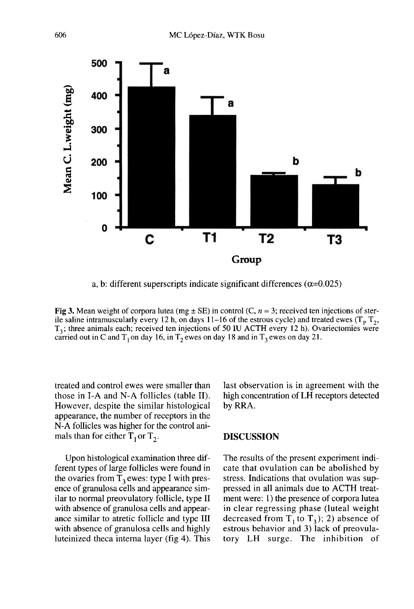

a, b: different superscripts indicate significant differences ( $\alpha$ =0.025)

Fig 3. Mean weight of corpora lutea (mg  $\pm$  SE) in control (C,  $n = 3$ ; received ten injections of sterile saline intramuscularly every 12 h, on days 11–16 of the estrous cycle) and treated ewes  $(T_p, T_2)$ ,  $T<sub>3</sub>$ ; three animals each; received ten injections of 50 IU ACTH every 12 h). Ovariectomies were carried out in C and  $T_1$  on day 16, in  $T_2$  ewes on day 18 and in  $T_3$  ewes on day 21.

treated and control ewes were smaller than those in I-A and N-A follicles (table II). However, despite the similar histological appearance, the number of receptors in the N-A follicles was higher for the control animals than for either  $T_1$  or  $T_2$ .

Upon histological examination three different types of large follicles were found in the ovaries from  $T_3$  ewes: type I with presence of granulosa cells and appearance similar to normal preovulatory follicle, type II with absence of granulosa cells and appearance similar to atretic follicle and type III with absence of granulosa cells and highly luteinized theca interna layer (fig 4). This

last observation is in agreement with the high concentration of LH receptors detected by RRA.

## DISCUSSION

The results of the present experiment indicate that ovulation can be abolished by stress. Indications that ovulation was suppressed in all animals due to ACTH treatment were: 1) the presence of corpora lutea in clear regressing phase (luteal weight decreased from  $T_1$  to  $T_3$ ); 2) absence of estrous behavior and 3) lack of preovulatory LH surge. The inhibition of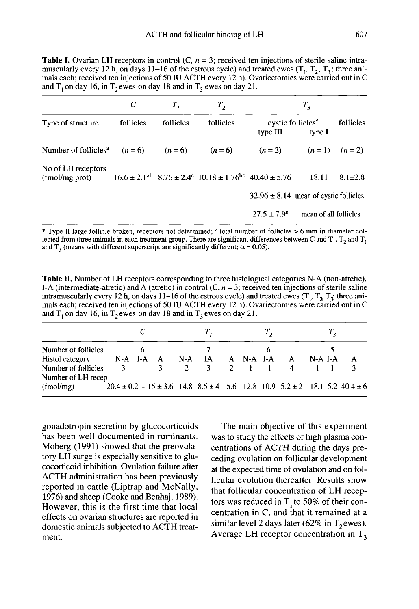**Table I.** Ovarian LH receptors in control  $(C, n = 3)$ ; received ten injections of sterile saline intramuscularly every 12 h, on days 11–16 of the estrous cycle) and treated ewes  $(T_1, T_2, T_3)$ ; three animals each; received ten injections of 50 IU ACTH every 12 h). Ovariectomies were carried out in C and  $T_1$  on day 16, in  $T_2$  ewes on day 18 and in  $T_3$  ewes on day 21.

| Type of structure                    | C         | $T_{I}$   | $T_{2}$                                                                       | $T_{3}$                                   |                       |               |  |  |
|--------------------------------------|-----------|-----------|-------------------------------------------------------------------------------|-------------------------------------------|-----------------------|---------------|--|--|
|                                      | follicles | follicles | follicles                                                                     | cystic follicles*<br>type III             | follicles             |               |  |  |
| Number of follicles <sup>a</sup>     | $(n = 6)$ | $(n=6)$   | $(n=6)$                                                                       | $(n=2)$                                   | $(n=1)$               | $(n=2)$       |  |  |
| No of LH receptors<br>(fmol/mg prot) |           |           | $16.6 \pm 2.1^{ab}$ $8.76 \pm 2.4^{c}$ $10.18 \pm 1.76^{bc}$ $40.40 \pm 5.76$ |                                           | 18.11                 | $8.1 \pm 2.8$ |  |  |
|                                      |           |           |                                                                               | $32.96 \pm 8.14$ mean of cystic follicles |                       |               |  |  |
|                                      |           |           |                                                                               | $27.5 \pm 7.9^{\circ}$                    | mean of all follicles |               |  |  |

\* Type II large follicle broken, receptors not determined; <sup>a</sup> total number of follicles > 6 mm in diameter collected from three animals in each treatment group. There are significant differences between C and  $T_1$ ,  $T_2$  and  $T_1$ and T<sub>3</sub> (means with different superscript are significantly different;  $\alpha$  = 0.05).

Table II. Number of LH receptors corresponding to three histological categories N-A (non-atretic), I-A (intermediate-atretic) and A (atretic) in control (C,  $n = 3$ ; received ten injections of sterile saline intramuscularly every 12 h, on days 11–16 of the estrous cycle) and treated ewes  $(T_1, T_2, T_3)$  three animals each; received ten injections of 50 IU ACTH every 12 h). Ovariectomies were carried out in C and  $T_1$  on day 16, in  $T_2$  ewes on day 18 and in  $T_3$  ewes on day 21.

| Number of follicles                    |               |                |               |                                                 |  |  |  |                                                                                              |
|----------------------------------------|---------------|----------------|---------------|-------------------------------------------------|--|--|--|----------------------------------------------------------------------------------------------|
| Histol category<br>Number of follicles | $\mathcal{R}$ | $\overline{3}$ | $\mathcal{P}$ | N-A I-A A N-A IA A N-A I-A A N-A I-A<br>3 2 1 1 |  |  |  | $\mathbf{A}$                                                                                 |
| Number of LH recep<br>(fmol/mg)        |               |                |               |                                                 |  |  |  | $20.4 \pm 0.2 - 15 \pm 3.6$ 14.8 $8.5 \pm 4$ 5.6 12.8 10.9 $5.2 \pm 2$ 18.1 5.2 40.4 $\pm 6$ |

gonadotropin secretion by glucocorticoids has been well documented in ruminants. Moberg (1991) showed that the preovulatory LH surge is especially sensitive to glucocorticoid inhibition. Ovulation failure after ACTH administration has been previously reported in cattle (Liptrap and McNally, 1976) and sheep (Cooke and Benhaj, 1989). However, this is the first time that local effects on ovarian structures are reported in domestic animals subjected to ACTH treatment.

The main objective of this experiment was to study the effects of high plasma concentrations of ACTH during the days preceding ovulation on follicular development at the expected time of ovulation and on follicular evolution thereafter. Results show that follicular concentration of LH receptors was reduced in  $T<sub>1</sub>$  to 50% of their concentration in C, and that it remained at a similar level 2 days later (62% in  $T_2$ ewes). Average LH receptor concentration in  $T<sub>3</sub>$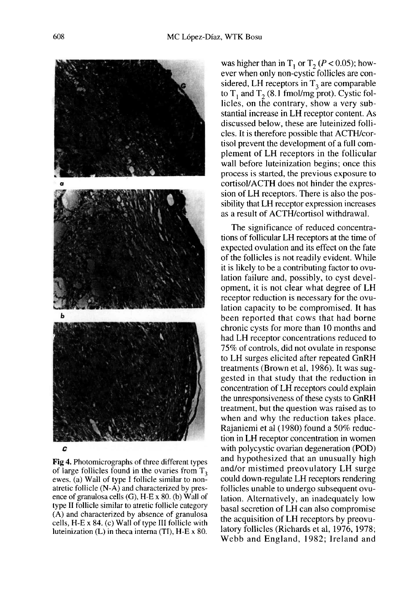

Fig 4. Photomicrographs of three different types of large follicles found in the ovaries from  $T_3$ ewes. (a) Wall of type I follicle similar to nonatretic follicle  $(N-A)$  and characterized by presence of granulosa cells (G),  $H-E \times 80$ . (b) Wall of type II follicle similar to atretic follicle category (A) and characterized by absence of granulosa cells, H-E x 84. (c) Wall of type III follicle with luteinization  $(L)$  in the a interna  $(TI)$ , H-E x 80.

was higher than in T<sub>1</sub> or T<sub>2</sub> ( $P < 0.05$ ); however when only non-cystic follicles are con-<br>sidered, LH receptors in  $T_3$  are comparable to T<sub>1</sub> and T<sub>2</sub> (8.1 fmol/mg prot). Cystic follicles, on the contrary, show a very substantial increase in LH receptor content. As discussed below, these are luteinized follicles. It is therefore possible that ACTH/cortisol prevent the development of a full complement of LH receptors in the follicular wall before luteinization begins; once this process is started, the previous exposure to cortisol/ACTH does not hinder the expression of LH receptors. There is also the possibility that LH receptor expression increases as a result of ACTH/cortisol withdrawal.

The significance of reduced concentrations of follicular LH receptors at the time of expected ovulation and its effect on the fate of the follicles is not readily evident. While it is likely to be a contributing factor to ovulation failure and, possibly, to cyst development, it is not clear what degree of LH receptor reduction is necessary for the ovulation capacity to be compromised. It has been reported that cows that had borne chronic cysts for more than 10 months and had LH receptor concentrations reduced to 75% of controls, did not ovulate in response to LH surges elicited after repeated GnRH treatments (Brown et al, 1986). It was suggested in that study that the reduction in concentration of LH receptors could explain the unresponsiveness of these cysts to GnRH treatment, but the question was raised as to when and why the reduction takes place. Rajaniemi et al (1980) found a 50% reduction in LH receptor concentration in women with polycystic ovarian degeneration (POD) and hypothesized that an unusually high and/or mistimed preovulatory LH surge could down-regulate LH receptors rendering follicles unable to undergo subsequent ovulation. Alternatively, an inadequately low basal secretion of LH can also compromise the acquisition of LH receptors by preovulatory follicles (Richards et al, 1976, 1978; Webb and England, 1982; Ireland and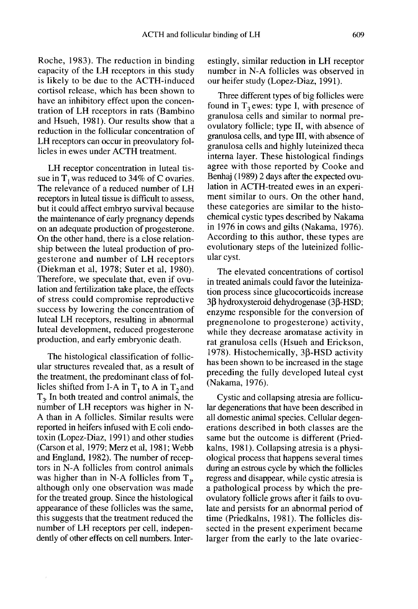Roche, 1983). The reduction in binding capacity of the LH receptors in this study is likely to be due to the ACTH-induced cortisol release, which has been shown to have an inhibitory effect upon the concentration of LH receptors in rats (Bambino and Hsueh, 1981). Our results show that a reduction in the follicular concentration of LH receptors can occur in preovulatory follicles in ewes under ACTH treatment.

LH receptor concentration in luteal tissue in  $T_1$  was reduced to 34% of C ovaries. The relevance of a reduced number of LH receptors in luteal tissue is difficult to assess, but it could affect embryo survival because the maintenance of early pregnancy depends on an adequate production of progesterone. On the other hand, there is a close relationship between the luteal production of progesterone and number of LH receptors (Diekman et al, 1978; Suter et al, 1980). Therefore, we speculate that, even if ovulation and fertilization take place, the effects of stress could compromise reproductive success by lowering the concentration of luteal LH receptors, resulting in abnormal luteal development, reduced progesterone production, and early embryonic death.

The histological classification of follicular structures revealed that, as a result of the treatment, the predominant class of follicles shifted from I-A in  $T_1$  to A in  $T_2$  and  $T<sub>3</sub>$  In both treated and control animals, the number of LH receptors was higher in N-A than in A follicles. Similar results were reported in heifers infused with E coli endotoxin (Lopez-Diaz, 1991) and other studies (Carson et al, 1979; Merz et al, 1981; Webb tors in N-A follicles from control animals was higher than in N-A follicles from  $T<sub>1</sub>$ , although only one observation was made for the treated group. Since the histological appearance of these follicles was the same, this suggests that the treatment reduced the number of LH receptors per cell, independently of other effects on cell numbers. Interestingly, similar reduction in LH receptor number in N-A follicles was observed in our heifer study (Lopez-Diaz, 1991).

Three different types of big follicles were found in  $T_3$  ewes: type I, with presence of granulosa cells and similar to normal preovulatory follicle; type II, with absence of granulosa cells, and type III, with absence of granulosa cells and highly luteinized theca interna layer. These histological findings agree with those reported by Cooke and Benhaj (1989) 2 days after the expected ovulation in ACTH-treated ewes in an experiment similar to ours. On the other hand, these categories are similar to the histochemical cystic types described by Nakama in 1976 in cows and gilts (Nakama, 1976). According to this author, these types are evolutionary steps of the luteinized follicular cyst.

The elevated concentrations of cortisol in treated animals could favor the luteinization process since glucocorticoids increase  $3\beta$  hydroxysteroid dehydrogenase (3 $\beta$ -HSD; enzyme responsible for the conversion of pregnenolone to progesterone) activity, while they decrease aromatase activity in rat granulosa cells (Hsueh and Erickson, 1978). Histochemically,  $3\beta$ -HSD activity has been shown to be increased in the stage preceding the fully developed luteal cyst (Nakama, 1976).

Cystic and collapsing atresia are follicular degenerations that have been described in all domestic animal species. Cellular degenerations described in both classes are the same but the outcome is different (Priedkalns, 1981). Collapsing atresia is a physiological process that happens several times during an estrous cycle by which the follicles regress and disappear, while cystic atresia is a pathological process by which the preovulatory follicle grows after it fails to ovulate and persists for an abnormal period of time (Priedkalns, 1981). The follicles dissected in the present experiment became larger from the early to the late ovariec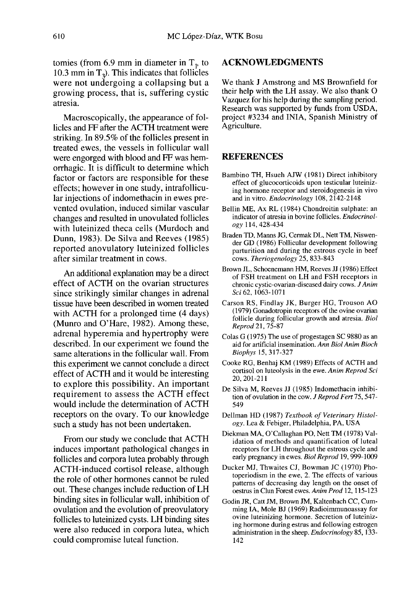tomies (from 6.9 mm in diameter in  $T<sub>1</sub>$ , to 10.3 mm in  $T_2$ ). This indicates that follicles were not undergoing a collapsing but a growing process, that is, suffering cystic atresia.

Macroscopically, the appearance of follicles and FF after the ACTH treatment were striking. In 89.5% of the follicles present in treated ewes, the vessels in follicular wall were engorged with blood and FF was hemorrhagic. It is difficult to determine which factor or factors are responsible for these effects; however in one study, intrafollicular injections of indomethacin in ewes prevented ovulation, induced similar vascular changes and resulted in unovulated follicles with luteinized theca cells (Murdoch and Dunn, 1983). De Silva and Reeves (1985) reported anovulatory luteinized follicles after similar treatment in cows.

An additional explanation may be a direct effect of ACTH on the ovarian structures since strikingly similar changes in adrenal tissue have been described in women treated with ACTH for a prolonged time (4 days) (Munro and O'Hare, 1982). Among these, adrenal hyperemia and hypertrophy were described. In our experiment we found the same alterations in the follicular wall. From this experiment we cannot conclude a direct effect of ACTH and it would be interesting to explore this possibility. An important requirement to assess the ACTH effect would include the determination of ACTH receptors on the ovary. To our knowledge such a study has not been undertaken.

From our study we conclude that ACTH induces important pathological changes in follicles and corpora lutea probably through ACTH-induced cortisol release, although the role of other hormones cannot be ruled out. These changes include reduction of LH binding sites in follicular wall, inhibition of ovulation and the evolution of preovulatory follicles to luteinized cysts. LH binding sites were also reduced in corpora lutea, which could compromise luteal function.

# ACKNOWLEDGMENTS

We thank J Amstrong and MS Brownfield for their help with the  $L\tilde{H}$  assay. We also thank  $O$ Vazquez for his help during the sampling period. Research was supported by funds from USDA, project #3234 and INIA, Spanish Ministry of Agriculture.

### **REFERENCES**

- Bambino TH, Hsueh AJW (1981) Direct inhibitory effect of glucocorticoids upon testicular luteinizing hormone receptor and steroidogenesis in vivo and in vitro. Endocrinology 108, 2142-2148
- Bellin ME, Ax RL (1984) Chondroitin sulphate: an indicator of atresia in bovine follicles. Endocrinology 114, 428-434
- Braden TD, Manns JG, Cermak DL, Nett TM, Niswender GD (1986) Follicular development following parturition and during the estrous cycle in beef cows. Theriogenology 25, 833-843
- Brown JL, Schoenemann HM, Reeves JJ (1986) Effect of FSH treatment on LH and FSH receptors in chronic cystic-ovarian-diseased dairy cows. JAnim Sci 62, 1063-1071
- Carson RS, Findlay JK, Burger HG, Trouson AO (1979) Gonadotropin receptors of the ovine ovarian follicle during follicular growth and atresia. Biol Reprod 21, 75-87
- Colas G (1975) The use of progestagen SC 9880 as an aid for artificial insemination. Ann Biol Anim Bioch Biophys 15, 317-327
- Cooke RG, Benhaj KM (1989) Effects of ACTH and cortisol on luteolysis in the ewe. Anim Reprod Sci 20, 201-211 1
- De Silva M, Reeves JJ (1985) Indomethacin inhibition of ovulation in the cow. *J Reprod Fert* 75, 547-549
- Dellman HD (1987) Textbook of Veterinary Histology. Lea & Febiger, Philadelphia, PA, USA
- Diekman MA, O'Callaghan PO, Nett TM (1978) Validation of methods and quantification of luteal receptors for LH throughout the estrous cycle and early pregnancy in ewes. Biol Reprod 19, 999-1009
- Ducker MJ, Thwaites CJ, Bowman JC (1970) Photoperiodism in the ewe, 2. The effects of various patterns of decreasing day length on the onset of oestrus in Clun Forest ewes. Anim Prod 12, 115-123
- Godin JR, Catt JM, Brown JM, Kaltenbach CC, Cumming IA, Mole BJ (1969) Radioimmunoassay for ovine luteinizing hormone. Secretion of luteinizing hormone during estrus and following estrogen administration in the sheep. Endocrinology 85, 133- 142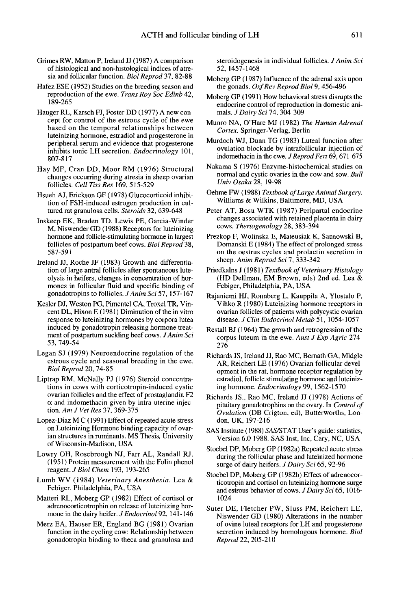- Grimes RW, Matton P, Ireland JJ (1987) A comparison of histological and non-histological indices of atresia and follicular function. Biol Reprod 37, 82-88
- Hafez ESE (1952) Studies on the breeding season and reproduction of the ewe. Trans Roy Soc Edinb 42, 189-265
- Hauger RL, Karsch FJ, Foster DD (1977) A new concept for control of the estrous cycle of the ewe based on the temporal relationships between luteinizing hormone, estradiol and progesterone in peripheral serum and evidence that progesterone inhibits tonic LH secretion. Endocrinology 101, 807-817
- Hay MF, Cran DD, Moor RM (1976) Structural changes occurring during atresia in sheep ovarian follicles. Cell Tiss Res 169, 515-529
- Hsueh AJ, Erickson GF (1978) Glucocorticoid inhibition of FSH-induced estrogen production in cultured rat granulosa cells. Steroids 32, 639-648
- Inskeep EK, Braden TD, Lewis PE, Garcia-Winder M, Niswender GD (1988) Receptors for luteinizing hormone and follicle-stimulating hormone in largest follicles of postpartum beef cows. Biol Reprod 38, 587-591
- Ireland JJ, Roche JF (1983) Growth and differentiation of large antral follicles after spontaneous luteolysis in heifers, changes in concentration of hormones in follicular fluid and specific binding of gonadotropins to follicles. J Anim Sci 57, 157-167
- Kesler DJ, Weston PG, Pimentel CA, Troxel TR, Vincent DL, Hixon E (1981) Diminution of the in vitro response to luteinizing hormones by corpora lutea induced by gonadotropin releasing hormone treatment of postpartum suckling beef cows. J Anim Sci 53,749-54
- Legan SJ (1979) Neuroendocrine regulation of the estrous cycle and seasonal breeding in the ewe. Biol Reprod 20, 74-85
- Liptrap RM, McNally PJ (1976) Steroid concentrations in cows with corticotropin-induced cystic ovarian follicles and the effect of prostaglandin F2  $\alpha$  and indomethacin given by intra-uterine injection. Am J Vet Res 37, 369-375
- Lopez-Diaz M C (1991) Effect of repeated acute stress on Luteinizing Hormone binding capacity of ovarian structures in ruminants. MS Thesis, University of Wisconsin-Madison, USA
- Lowry OH, Rosebrough NJ, Farr AL, Randall RJ. (1951) Protein measurement with the Folin phenol reagent. J Biol Chem 193, 193-265
- Lumb WV (1984) Veterinary Anesthesia. Lea & Febiger. Philadelphia, PA, USA
- Matteri RL, Moberg GP (1982) Effect of cortisol or adrenocorticotrophin on release of luteinizing hormone in the dairy heifer. *J Endocrinol* 92, 141-146
- Merz EA, Hauser ER, England BG (1981) Ovarian function in the cycling cow: Relationship between gonadotropin binding to theca and granulosa and

steroidogenesis in individual follicles. *J Anim Sci* 52,1457-1468

- Moberg GP ( 1987) Influence of the adrenal axis upon the gonads. Oxf Rev Reprod Biol 9, 456-496
- Moberg GP (1991) How behavioral stress disrupts the endocrine control of reproduction in domestic animals. J Dairy Sci 74, 304-309
- Munro NA, O'Hare MJ (1982) The Human Adrenal Cortex. Springer-Verlag, Berlin
- Murdoch WJ, Dunn TG (1983) Luteal function after ovulation blockade by intrafollicular injection of indomethacin in the ewe. *J Reprod Fert* 69, 671-675
- Nakama S (1976) Enzyme-histochemical studies on normal and cystic ovaries in the cow and sow. Bull Univ Osaka 28, 19-98
- Oehme FW (1988) Textbook of Large Animal Surgery. Williams & Wilkins, Baltimore, MD, USA
- Peter AT, Bosu WTK (1987) Peripartal endocrine changes associated with retained placenta in dairy cows. Theriogenology 28, 383-394
- Prezkop F, Wolinska E, Mateusiak K, Sanaowski B, Domanski E (1984) The effect of prolonged stress on the oestrus cycles and prolactin secretion in sheep. Anim Reprod Sci 7, 333-342
- Priedkalns J (1981) Textbook of Veterinary Histology (HD Dellman, EM Brown, eds) 2nd ed. Lea & Febiger, Philadelphia, PA, USA
- Rajaniemi HJ, Ronnberg L, Kauppila A, Ylostalo P, Vihko R (1980) Luteinizing hormone receptors in ovarian follicles of patients with polycystic ovarian disease. J Clin Endocrinol Metab 51, 1054-1057
- Restall BJ (1964) The growth and retrogression of the corpus luteum in the ewe. Aust J Exp Agric 274- 276
- Richards IS, Ireland JJ, Rao MC, Bernath GA, Midgle AR, Reichert LE (1976) Ovarian follicular development in the rat, hormone receptor regulation by estradiol, follicle stimulating hormone and luteinizing hormone. Endocrinology 99, 1562-1570
- Richards JS., Rao MC, Ireland JJ (1978) Actions of pituitary gonadotrophins on the ovary. In Control of Ovulation (DB Crigton, ed), Butterworths, London, UK, 197-216
- SAS Institute (1988) SAS/STAT User's guide: statistics, Version 6.0 1988. SAS Inst, Inc, Cary, NC, USA
- Stoebel DP, Moberg GP ( 1982a) Repeated acute stress during the follicular phase and luteinized hormone surge of dairy heifers. J Dairy Sci 65, 92-96
- Stoebel DP, Moberg GP (1982b) Effect of adrenocorticotropin and cortisol on luteinizing hormone surge and estrous behavior of cows. J Dairy Sci 65, 1016- 1024
- Suter DE, Fletcher PW, Sluss PM, Reichert LE, Niswender GD (1980) Alterations in the number of ovine luteal receptors for LH and progesterone secretion induced by homologous hormone. Biol Reprod 22, 205-210